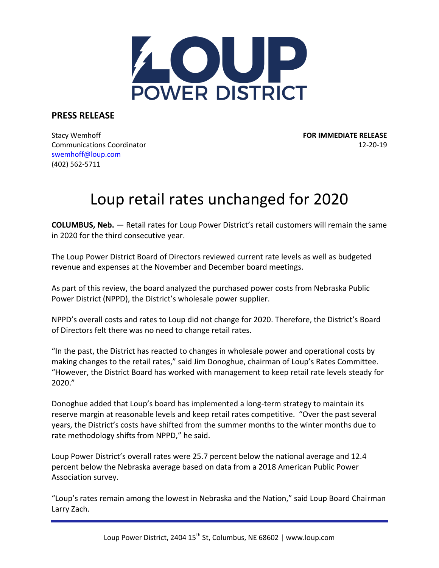

**PRESS RELEASE**

Stacy Wemhoff **FOR IMMEDIATE RELEASE** Communications Coordinator 12-20-19 [swemhoff@loup.com](mailto:swemhoff@loup.com)  (402) 562-5711

## Loup retail rates unchanged for 2020

**COLUMBUS, Neb.** — Retail rates for Loup Power District's retail customers will remain the same in 2020 for the third consecutive year.

The Loup Power District Board of Directors reviewed current rate levels as well as budgeted revenue and expenses at the November and December board meetings.

As part of this review, the board analyzed the purchased power costs from Nebraska Public Power District (NPPD), the District's wholesale power supplier.

NPPD's overall costs and rates to Loup did not change for 2020. Therefore, the District's Board of Directors felt there was no need to change retail rates.

"In the past, the District has reacted to changes in wholesale power and operational costs by making changes to the retail rates," said Jim Donoghue, chairman of Loup's Rates Committee. "However, the District Board has worked with management to keep retail rate levels steady for 2020."

Donoghue added that Loup's board has implemented a long-term strategy to maintain its reserve margin at reasonable levels and keep retail rates competitive. "Over the past several years, the District's costs have shifted from the summer months to the winter months due to rate methodology shifts from NPPD," he said.

Loup Power District's overall rates were 25.7 percent below the national average and 12.4 percent below the Nebraska average based on data from a 2018 American Public Power Association survey.

"Loup's rates remain among the lowest in Nebraska and the Nation," said Loup Board Chairman Larry Zach.